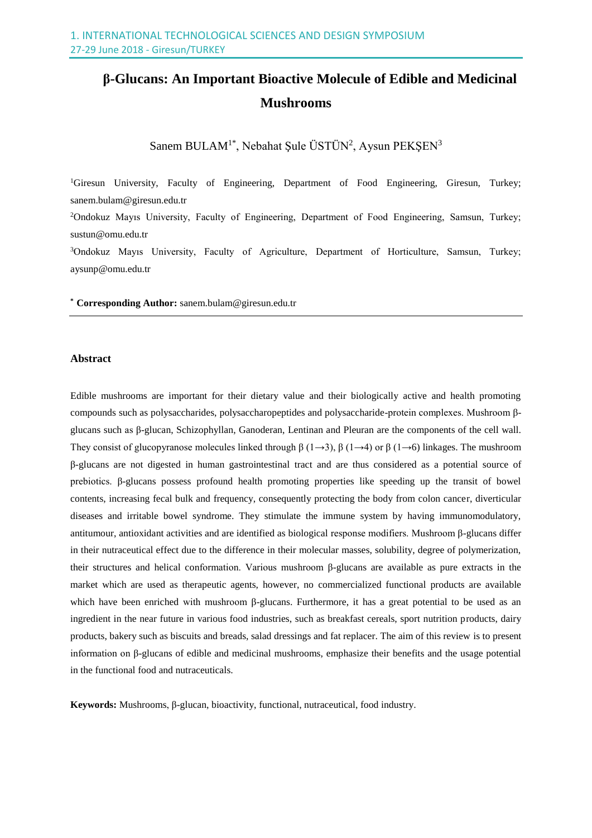# **β-Glucans: An Important Bioactive Molecule of Edible and Medicinal Mushrooms**

Sanem BULAM<sup>1\*</sup>, Nebahat Şule ÜSTÜN<sup>2</sup>, Aysun PEKŞEN<sup>3</sup>

<sup>1</sup>Giresun University, Faculty of Engineering, Department of Food Engineering, Giresun, Turkey; sanem.bulam@giresun.edu.tr

<sup>2</sup>Ondokuz Mayıs University, Faculty of Engineering, Department of Food Engineering, Samsun, Turkey; sustun@omu.edu.tr

<sup>3</sup>Ondokuz Mayıs University, Faculty of Agriculture, Department of Horticulture, Samsun, Turkey; aysunp@omu.edu.tr

**\* Corresponding Author:** sanem.bulam@giresun.edu.tr

#### **Abstract**

Edible mushrooms are important for their dietary value and their biologically active and health promoting compounds such as polysaccharides, polysaccharopeptides and polysaccharide-protein complexes. Mushroom βglucans such as β-glucan, Schizophyllan, Ganoderan, Lentinan and Pleuran are the components of the cell wall. They consist of glucopyranose molecules linked through  $\beta$  (1→3),  $\beta$  (1→4) or  $\beta$  (1→6) linkages. The mushroom β-glucans are not digested in human gastrointestinal tract and are thus considered as a potential source of prebiotics. β-glucans possess profound health promoting properties like speeding up the transit of bowel contents, increasing fecal bulk and frequency, consequently protecting the body from colon cancer, diverticular diseases and irritable bowel syndrome. They stimulate the immune system by having immunomodulatory, antitumour, antioxidant activities and are identified as biological response modifiers. Mushroom β-glucans differ in their nutraceutical effect due to the difference in their molecular masses, solubility, degree of polymerization, their structures and helical conformation. Various mushroom β-glucans are available as pure extracts in the market which are used as therapeutic agents, however, no commercialized functional products are available which have been enriched with mushroom  $\beta$ -glucans. Furthermore, it has a great potential to be used as an ingredient in the near future in various food industries, such as breakfast cereals, sport nutrition products, dairy products, bakery such as biscuits and breads, salad dressings and fat replacer. The aim of this review is to present information on β-glucans of edible and medicinal mushrooms, emphasize their benefits and the usage potential in the functional food and nutraceuticals.

**Keywords:** Mushrooms, β-glucan, bioactivity, functional, nutraceutical, food industry.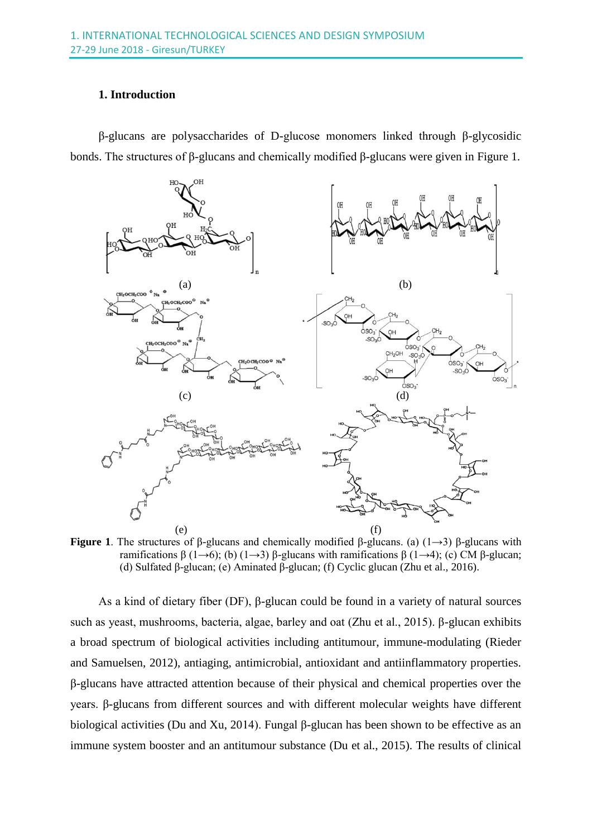#### **1. Introduction**

β-glucans are polysaccharides of D-glucose monomers linked through β-glycosidic bonds. The structures of β-glucans and chemically modified β-glucans were given in Figure 1.



**Figure 1**. The structures of β-glucans and chemically modified β-glucans. (a) (1→3) β-glucans with ramifications β (1→6); (b) (1→3) β-glucans with ramifications β (1→4); (c) CM β-glucan; (d) Sulfated β-glucan; (e) Aminated β-glucan; (f) Cyclic glucan (Zhu et al., 2016).

As a kind of dietary fiber (DF), β-glucan could be found in a variety of natural sources such as yeast, mushrooms, bacteria, algae, barley and oat (Zhu et al., 2015). β-glucan exhibits a broad spectrum of biological activities including antitumour, immune-modulating (Rieder and Samuelsen, 2012), antiaging, antimicrobial, antioxidant and antiinflammatory properties. β-glucans have attracted attention because of their physical and chemical properties over the years. β-glucans from different sources and with different molecular weights have different biological activities (Du and Xu, 2014). Fungal β-glucan has been shown to be effective as an immune system booster and an antitumour substance (Du et al., 2015). The results of clinical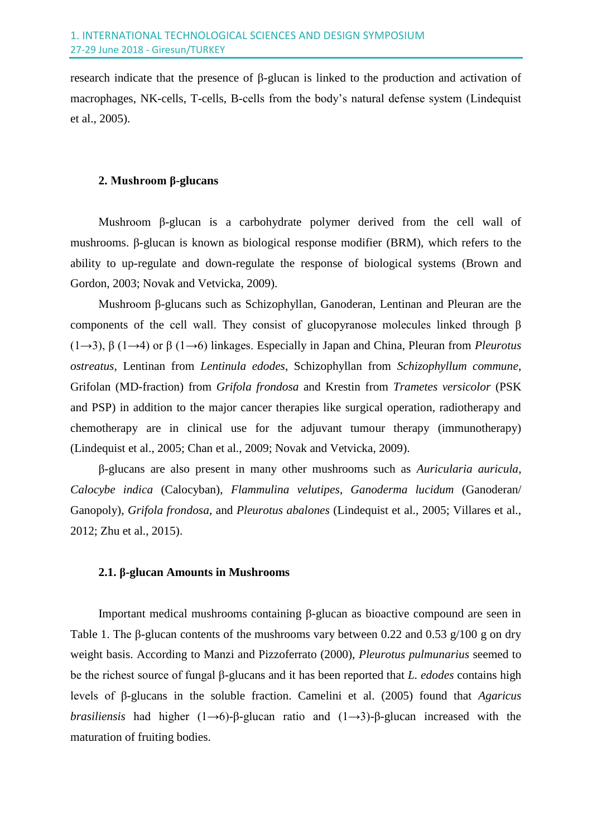research indicate that the presence of β-glucan is linked to the production and activation of macrophages, NK-cells, T-cells, B-cells from the body's natural defense system (Lindequist et al., 2005).

## **2. Mushroom β-glucans**

Mushroom β-glucan is a carbohydrate polymer derived from the cell wall of mushrooms. β-glucan is known as biological response modifier (BRM), which refers to the ability to up-regulate and down-regulate the response of biological systems (Brown and Gordon, 2003; Novak and Vetvicka, 2009).

Mushroom β-glucans such as Schizophyllan, Ganoderan, Lentinan and Pleuran are the components of the cell wall. They consist of glucopyranose molecules linked through β (1→3), β (1→4) or β (1→6) linkages. Especially in Japan and China, Pleuran from *Pleurotus ostreatus*, Lentinan from *Lentinula edodes*, Schizophyllan from *Schizophyllum commune*, Grifolan (MD-fraction) from *Grifola frondosa* and Krestin from *Trametes versicolor* (PSK and PSP) in addition to the major cancer therapies like surgical operation, radiotherapy and chemotherapy are in clinical use for the adjuvant tumour therapy (immunotherapy) (Lindequist et al., 2005; Chan et al., 2009; Novak and Vetvicka, 2009).

β-glucans are also present in many other mushrooms such as *Auricularia auricula*, *Calocybe indica* (Calocyban), *Flammulina velutipes*, *Ganoderma lucidum* (Ganoderan/ Ganopoly), *Grifola frondosa*, and *Pleurotus abalones* (Lindequist et al., 2005; Villares et al., 2012; Zhu et al., 2015).

## **2.1. β-glucan Amounts in Mushrooms**

Important medical mushrooms containing β-glucan as bioactive compound are seen in Table 1. The β-glucan contents of the mushrooms vary between 0.22 and 0.53 g/100 g on dry weight basis. According to Manzi and Pizzoferrato (2000), *Pleurotus pulmunarius* seemed to be the richest source of fungal β-glucans and it has been reported that *L. edodes* contains high levels of β-glucans in the soluble fraction. Camelini et al. (2005) found that *Agaricus brasiliensis* had higher (1→6)-β-glucan ratio and (1→3)-β-glucan increased with the maturation of fruiting bodies.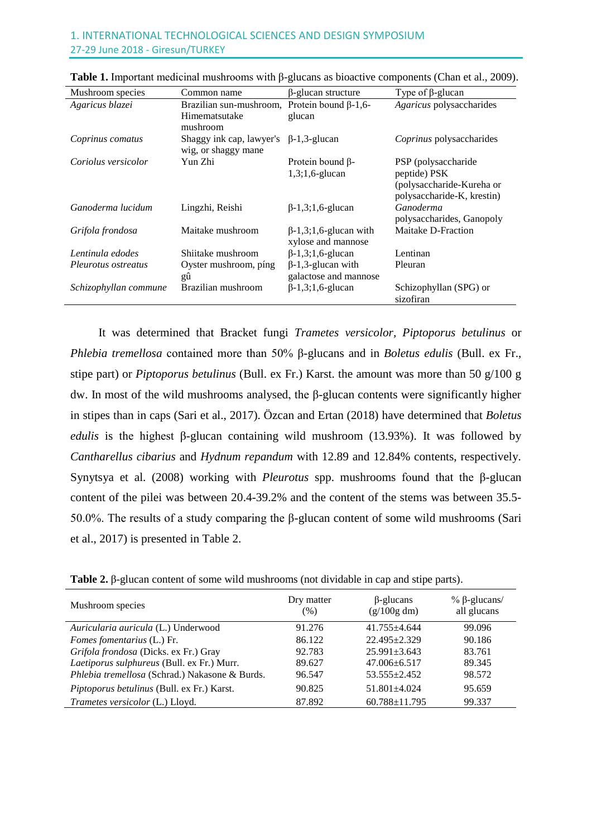| Mushroom species      | Common name                                     | $\beta$ -glucan structure                          | Type of $\beta$ -glucan                                 |
|-----------------------|-------------------------------------------------|----------------------------------------------------|---------------------------------------------------------|
| Agaricus blazei       | Brazilian sun-mushroom,                         | Protein bound $\beta$ -1,6-                        | Agaricus polysaccharides                                |
|                       | Himematsutake<br>mushroom                       | glucan                                             |                                                         |
| Coprinus comatus      | Shaggy ink cap, lawyer's<br>wig, or shaggy mane | $\beta$ -1,3-glucan                                | Coprinus polysaccharides                                |
| Coriolus versicolor   | Yun Zhi                                         | Protein bound $\beta$ -                            | PSP (polysaccharide                                     |
|                       |                                                 | $1,3;1,6$ -glucan                                  | peptide) PSK                                            |
|                       |                                                 |                                                    | (polysaccharide-Kureha or<br>polysaccharide-K, krestin) |
| Ganoderma lucidum     | Lingzhi, Reishi                                 | $\beta$ -1,3;1,6-glucan                            | Ganoderma<br>polysaccharides, Ganopoly                  |
| Grifola frondosa      | Maitake mushroom                                | $\beta$ -1,3;1,6-glucan with<br>xylose and mannose | Maitake D-Fraction                                      |
| Lentinula edodes      | Shiitake mushroom                               | $\beta$ -1,3;1,6-glucan                            | Lentinan                                                |
| Pleurotus ostreatus   | Oyster mushroom, ping<br>gû                     | $\beta$ -1,3-glucan with<br>galactose and mannose  | Pleuran                                                 |
| Schizophyllan commune | Brazilian mushroom                              | $\beta$ -1,3;1,6-glucan                            | Schizophyllan (SPG) or<br>sizofiran                     |

| <b>Table 1.</b> Important medicinal mushrooms with $\beta$ -glucans as bioactive components (Chan et al., 2009). |
|------------------------------------------------------------------------------------------------------------------|
|------------------------------------------------------------------------------------------------------------------|

It was determined that Bracket fungi *Trametes versicolor, Piptoporus betulinus* or *Phlebia tremellosa* contained more than 50% β-glucans and in *Boletus edulis* (Bull. ex Fr., stipe part) or *Piptoporus betulinus* (Bull. ex Fr.) Karst. the amount was more than 50 g/100 g dw. In most of the wild mushrooms analysed, the β-glucan contents were significantly higher in stipes than in caps (Sari et al., 2017). Özcan and Ertan (2018) have determined that *Boletus edulis* is the highest β-glucan containing wild mushroom (13.93%). It was followed by *Cantharellus cibarius* and *Hydnum repandum* with 12.89 and 12.84% contents, respectively. Synytsya et al. (2008) working with *Pleurotus* spp. mushrooms found that the β-glucan content of the pilei was between 20.4-39.2% and the content of the stems was between 35.5- 50.0%. The results of a study comparing the β-glucan content of some wild mushrooms (Sari et al., 2017) is presented in Table 2.

**Table 2.** β-glucan content of some wild mushrooms (not dividable in cap and stipe parts).

| Mushroom species                               | Dry matter<br>(% ) | $\beta$ -glucans<br>(g/100g dm) | $\%$ $\beta$ -glucans/<br>all glucans |
|------------------------------------------------|--------------------|---------------------------------|---------------------------------------|
| Auricularia auricula (L.) Underwood            | 91.276             | $41.755 + 4.644$                | 99.096                                |
| Fomes fomentarius (L.) Fr.                     | 86.122             | $22.495 + 2.329$                | 90.186                                |
| Grifola frondosa (Dicks. ex Fr.) Gray          | 92.783             | $25.991 \pm 3.643$              | 83.761                                |
| Laetiporus sulphureus (Bull. ex Fr.) Murr.     | 89.627             | $47.006 \pm 6.517$              | 89.345                                |
| Phlebia tremellosa (Schrad.) Nakasone & Burds. | 96.547             | $53.555 + 2.452$                | 98.572                                |
| Piptoporus betulinus (Bull. ex Fr.) Karst.     | 90.825             | $51.801 + 4.024$                | 95.659                                |
| Trametes versicolor (L.) Lloyd.                | 87.892             | $60.788 \pm 11.795$             | 99.337                                |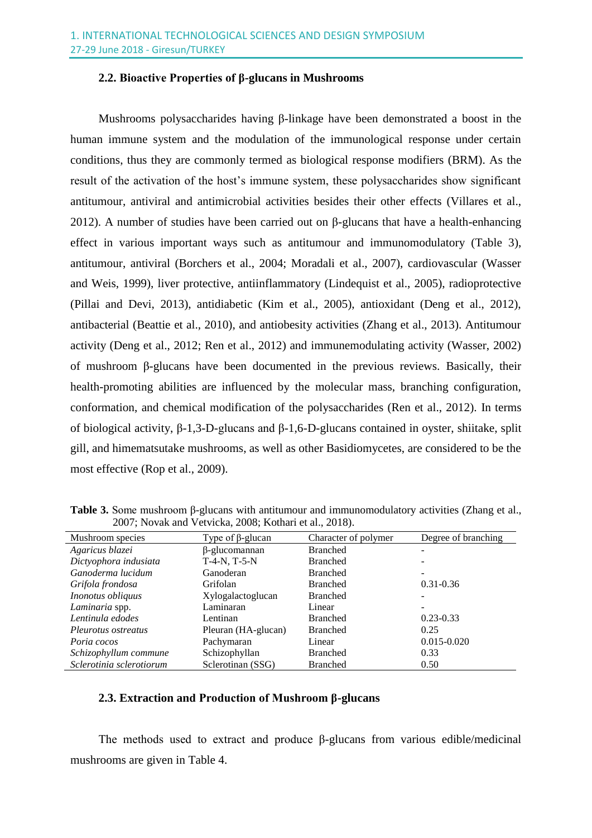#### **2.2. Bioactive Properties of β-glucans in Mushrooms**

Mushrooms polysaccharides having  $\beta$ -linkage have been demonstrated a boost in the human immune system and the modulation of the immunological response under certain conditions, thus they are commonly termed as biological response modifiers (BRM). As the result of the activation of the host's immune system, these polysaccharides show significant antitumour, antiviral and antimicrobial activities besides their other effects (Villares et al., 2012). A number of studies have been carried out on β-glucans that have a health-enhancing effect in various important ways such as antitumour and immunomodulatory (Table 3), antitumour, antiviral (Borchers et al., 2004; Moradali et al., 2007), cardiovascular (Wasser and Weis, 1999), liver protective, antiinflammatory (Lindequist et al., 2005), radioprotective (Pillai and Devi, 2013), antidiabetic (Kim et al., 2005), antioxidant (Deng et al., 2012), antibacterial (Beattie et al., 2010), and antiobesity activities (Zhang et al., 2013). Antitumour activity (Deng et al., 2012; Ren et al., 2012) and immunemodulating activity (Wasser, 2002) of mushroom β-glucans have been documented in the previous reviews. Basically, their health-promoting abilities are influenced by the molecular mass, branching configuration, conformation, and chemical modification of the polysaccharides (Ren et al., 2012). In terms of biological activity, β-1,3-D-glucans and β-1,6-D-glucans contained in oyster, shiitake, split gill, and himematsutake mushrooms, as well as other Basidiomycetes, are considered to be the most effective (Rop et al., 2009).

| $200$ , Two and and Technical 2000, Institute of any 2010). |                         |                      |                     |  |  |  |
|-------------------------------------------------------------|-------------------------|----------------------|---------------------|--|--|--|
| Mushroom species                                            | Type of $\beta$ -glucan | Character of polymer | Degree of branching |  |  |  |
| Agaricus blazei                                             | $\beta$ -glucomannan    | <b>Branched</b>      |                     |  |  |  |
| Dictyophora indusiata                                       | $T-4-N$ , $T-5-N$       | <b>Branched</b>      |                     |  |  |  |
| Ganoderma lucidum                                           | Ganoderan               | <b>Branched</b>      |                     |  |  |  |
| Grifola frondosa                                            | Grifolan                | <b>Branched</b>      | $0.31 - 0.36$       |  |  |  |
| <i>Inonotus obliquus</i>                                    | Xylogalactoglucan       | <b>Branched</b>      |                     |  |  |  |
| Laminaria spp.                                              | Laminaran               | Linear               |                     |  |  |  |
| Lentinula edodes                                            | Lentinan                | <b>Branched</b>      | $0.23 - 0.33$       |  |  |  |
| Pleurotus ostreatus                                         | Pleuran (HA-glucan)     | <b>Branched</b>      | 0.25                |  |  |  |
| Poria cocos                                                 | Pachymaran              | Linear               | $0.015 - 0.020$     |  |  |  |
| Schizophyllum commune                                       | Schizophyllan           | <b>Branched</b>      | 0.33                |  |  |  |
| Sclerotinia sclerotiorum                                    | Sclerotinan (SSG)       | <b>Branched</b>      | 0.50                |  |  |  |

**Table 3.** Some mushroom β-glucans with antitumour and immunomodulatory activities (Zhang et al., 2007; Novak and Vetvicka, 2008; Kothari et al., 2018).

### **2.3. Extraction and Production of Mushroom β-glucans**

The methods used to extract and produce β-glucans from various edible/medicinal mushrooms are given in Table 4.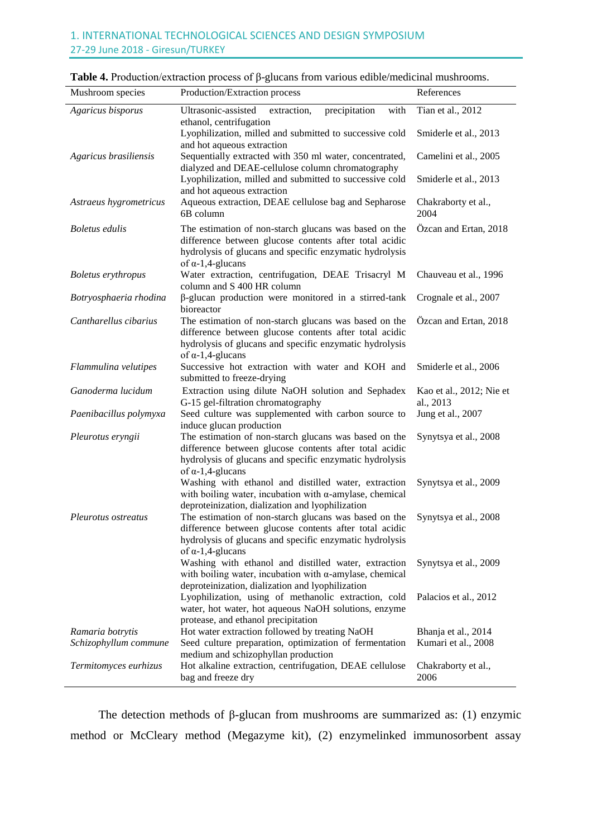| Mushroom species                          | Production/Extraction process                                                                                                                                                                          | References                                 |
|-------------------------------------------|--------------------------------------------------------------------------------------------------------------------------------------------------------------------------------------------------------|--------------------------------------------|
| Agaricus bisporus                         | Ultrasonic-assisted<br>extraction,<br>precipitation<br>with<br>ethanol, centrifugation<br>Lyophilization, milled and submitted to successive cold                                                      | Tian et al., 2012<br>Smiderle et al., 2013 |
| Agaricus brasiliensis                     | and hot aqueous extraction<br>Sequentially extracted with 350 ml water, concentrated,<br>dialyzed and DEAE-cellulose column chromatography                                                             | Camelini et al., 2005                      |
|                                           | Lyophilization, milled and submitted to successive cold<br>and hot aqueous extraction                                                                                                                  | Smiderle et al., 2013                      |
| Astraeus hygrometricus                    | Aqueous extraction, DEAE cellulose bag and Sepharose<br>6B column                                                                                                                                      | Chakraborty et al.,<br>2004                |
| <b>Boletus</b> edulis                     | The estimation of non-starch glucans was based on the<br>difference between glucose contents after total acidic<br>hydrolysis of glucans and specific enzymatic hydrolysis<br>of $\alpha$ -1,4-glucans | Özcan and Ertan, 2018                      |
| <b>Boletus</b> erythropus                 | Water extraction, centrifugation, DEAE Trisacryl M<br>column and S 400 HR column                                                                                                                       | Chauveau et al., 1996                      |
| Botryosphaeria rhodina                    | β-glucan production were monitored in a stirred-tank<br>bioreactor                                                                                                                                     | Crognale et al., 2007                      |
| Cantharellus cibarius                     | The estimation of non-starch glucans was based on the<br>difference between glucose contents after total acidic<br>hydrolysis of glucans and specific enzymatic hydrolysis<br>of $\alpha$ -1,4-glucans | Özcan and Ertan, 2018                      |
| Flammulina velutipes                      | Successive hot extraction with water and KOH and<br>submitted to freeze-drying                                                                                                                         | Smiderle et al., 2006                      |
| Ganoderma lucidum                         | Extraction using dilute NaOH solution and Sephadex<br>G-15 gel-filtration chromatography                                                                                                               | Kao et al., 2012; Nie et<br>al., 2013      |
| Paenibacillus polymyxa                    | Seed culture was supplemented with carbon source to<br>induce glucan production                                                                                                                        | Jung et al., 2007                          |
| Pleurotus eryngii                         | The estimation of non-starch glucans was based on the<br>difference between glucose contents after total acidic<br>hydrolysis of glucans and specific enzymatic hydrolysis<br>of $\alpha$ -1,4-glucans | Synytsya et al., 2008                      |
|                                           | Washing with ethanol and distilled water, extraction<br>with boiling water, incubation with $\alpha$ -amylase, chemical<br>deproteinization, dialization and lyophilization                            | Synytsya et al., 2009                      |
| Pleurotus ostreatus                       | The estimation of non-starch glucans was based on the<br>difference between glucose contents after total acidic<br>hydrolysis of glucans and specific enzymatic hydrolysis<br>of $\alpha$ -1,4-glucans | Synytsya et al., 2008                      |
|                                           | Washing with ethanol and distilled water, extraction<br>with boiling water, incubation with $\alpha$ -amylase, chemical<br>deproteinization, dialization and lyophilization                            | Synytsya et al., 2009                      |
|                                           | Lyophilization, using of methanolic extraction, cold<br>water, hot water, hot aqueous NaOH solutions, enzyme<br>protease, and ethanol precipitation                                                    | Palacios et al., 2012                      |
| Ramaria botrytis<br>Schizophyllum commune | Hot water extraction followed by treating NaOH<br>Seed culture preparation, optimization of fermentation                                                                                               | Bhanja et al., 2014<br>Kumari et al., 2008 |
| Termitomyces eurhizus                     | medium and schizophyllan production<br>Hot alkaline extraction, centrifugation, DEAE cellulose<br>bag and freeze dry                                                                                   | Chakraborty et al.,<br>2006                |

The detection methods of β-glucan from mushrooms are summarized as: (1) enzymic method or McCleary method (Megazyme kit), (2) enzymelinked immunosorbent assay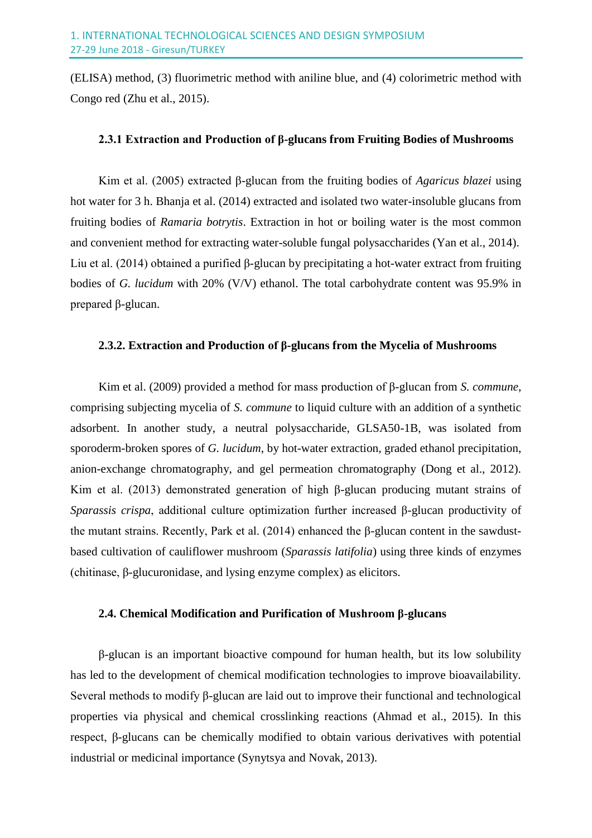(ELISA) method, (3) fluorimetric method with aniline blue, and (4) colorimetric method with Congo red (Zhu et al., 2015).

#### **2.3.1 Extraction and Production of β-glucans from Fruiting Bodies of Mushrooms**

Kim et al. (2005) extracted β-glucan from the fruiting bodies of *Agaricus blazei* using hot water for 3 h. Bhanja et al. (2014) extracted and isolated two water-insoluble glucans from fruiting bodies of *Ramaria botrytis*. Extraction in hot or boiling water is the most common and convenient method for extracting water-soluble fungal polysaccharides (Yan et al., 2014). Liu et al. (2014) obtained a purified β-glucan by precipitating a hot-water extract from fruiting bodies of *G. lucidum* with 20% (V/V) ethanol. The total carbohydrate content was 95.9% in prepared β-glucan.

#### **2.3.2. Extraction and Production of β-glucans from the Mycelia of Mushrooms**

Kim et al. (2009) provided a method for mass production of β-glucan from *S. commune*, comprising subjecting mycelia of *S. commune* to liquid culture with an addition of a synthetic adsorbent. In another study, a neutral polysaccharide, GLSA50-1B, was isolated from sporoderm-broken spores of *G. lucidum*, by hot-water extraction, graded ethanol precipitation, anion-exchange chromatography, and gel permeation chromatography (Dong et al., 2012). Kim et al. (2013) demonstrated generation of high β-glucan producing mutant strains of *Sparassis crispa*, additional culture optimization further increased β-glucan productivity of the mutant strains. Recently, Park et al.  $(2014)$  enhanced the β-glucan content in the sawdustbased cultivation of cauliflower mushroom (*Sparassis latifolia*) using three kinds of enzymes (chitinase, β-glucuronidase, and lysing enzyme complex) as elicitors.

## **2.4. Chemical Modification and Purification of Mushroom β-glucans**

β-glucan is an important bioactive compound for human health, but its low solubility has led to the development of chemical modification technologies to improve bioavailability. Several methods to modify β-glucan are laid out to improve their functional and technological properties via physical and chemical crosslinking reactions (Ahmad et al., 2015). In this respect, β-glucans can be chemically modified to obtain various derivatives with potential industrial or medicinal importance (Synytsya and Novak, 2013).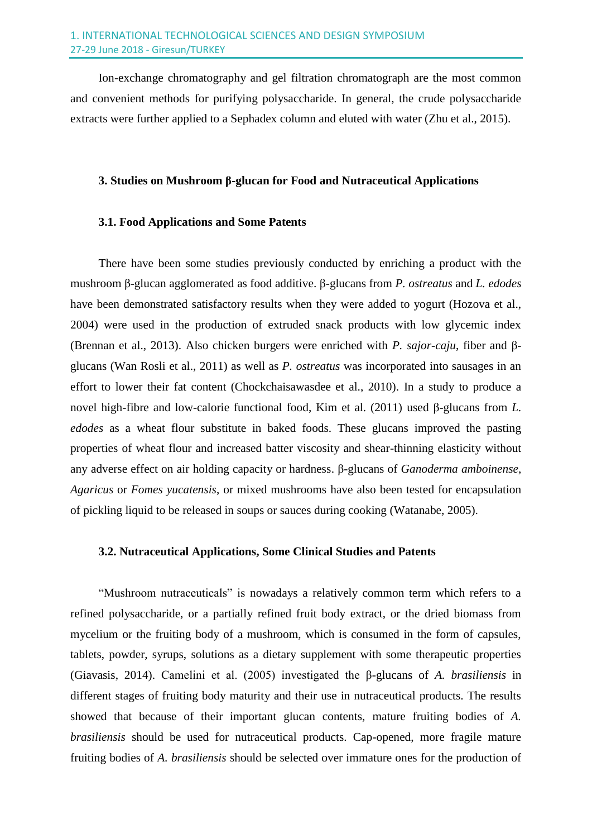Ion-exchange chromatography and gel filtration chromatograph are the most common and convenient methods for purifying polysaccharide. In general, the crude polysaccharide extracts were further applied to a Sephadex column and eluted with water (Zhu et al., 2015).

#### **3. Studies on Mushroom β-glucan for Food and Nutraceutical Applications**

#### **3.1. Food Applications and Some Patents**

There have been some studies previously conducted by enriching a product with the mushroom β-glucan agglomerated as food additive. β-glucans from *P. ostreatus* and *L. edodes* have been demonstrated satisfactory results when they were added to yogurt (Hozova et al., 2004) were used in the production of extruded snack products with low glycemic index (Brennan et al., 2013). Also chicken burgers were enriched with *P. sajor-caju*, fiber and βglucans (Wan Rosli et al., 2011) as well as *P. ostreatus* was incorporated into sausages in an effort to lower their fat content (Chockchaisawasdee et al., 2010). In a study to produce a novel high-fibre and low-calorie functional food, Kim et al. (2011) used β-glucans from *L. edodes* as a wheat flour substitute in baked foods. These glucans improved the pasting properties of wheat flour and increased batter viscosity and shear-thinning elasticity without any adverse effect on air holding capacity or hardness. β-glucans of *Ganoderma amboinense*, *Agaricus* or *Fomes yucatensis*, or mixed mushrooms have also been tested for encapsulation of pickling liquid to be released in soups or sauces during cooking (Watanabe, 2005).

## **3.2. Nutraceutical Applications, Some Clinical Studies and Patents**

"Mushroom nutraceuticals" is nowadays a relatively common term which refers to a refined polysaccharide, or a partially refined fruit body extract, or the dried biomass from mycelium or the fruiting body of a mushroom, which is consumed in the form of capsules, tablets, powder, syrups, solutions as a dietary supplement with some therapeutic properties (Giavasis, 2014). Camelini et al. (2005) investigated the β-glucans of *A. brasiliensis* in different stages of fruiting body maturity and their use in nutraceutical products. The results showed that because of their important glucan contents, mature fruiting bodies of *A. brasiliensis* should be used for nutraceutical products. Cap-opened, more fragile mature fruiting bodies of *A. brasiliensis* should be selected over immature ones for the production of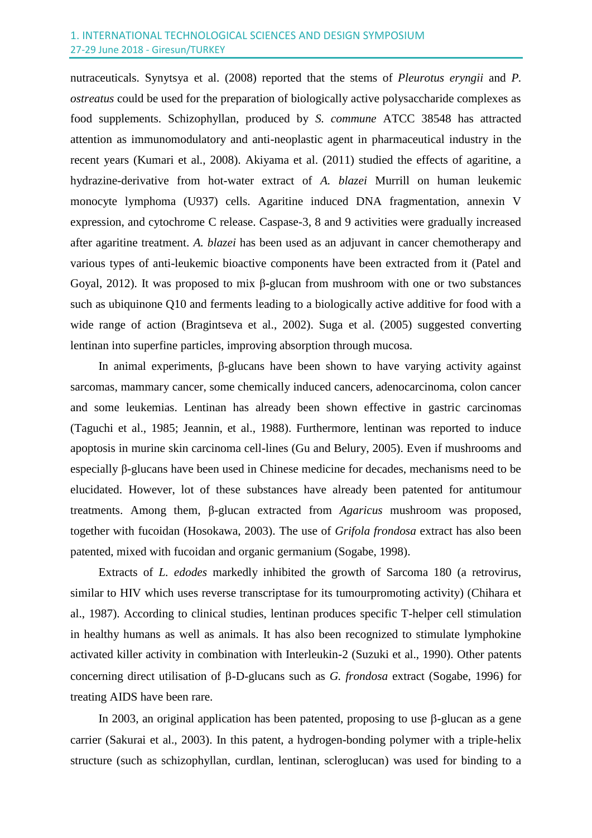#### 1. INTERNATIONAL TECHNOLOGICAL SCIENCES AND DESIGN SYMPOSIUM 27-29 June 2018 - Giresun/TURKEY

nutraceuticals. Synytsya et al. (2008) reported that the stems of *Pleurotus eryngii* and *P. ostreatus* could be used for the preparation of biologically active polysaccharide complexes as food supplements. Schizophyllan, produced by *S. commune* ATCC 38548 has attracted attention as immunomodulatory and anti-neoplastic agent in pharmaceutical industry in the recent years (Kumari et al., 2008). Akiyama et al. (2011) studied the effects of agaritine, a hydrazine-derivative from hot-water extract of *A. blazei* Murrill on human leukemic monocyte lymphoma (U937) cells. Agaritine induced DNA fragmentation, annexin V expression, and cytochrome C release. Caspase-3, 8 and 9 activities were gradually increased after agaritine treatment. *A. blazei* has been used as an adjuvant in cancer chemotherapy and various types of anti-leukemic bioactive components have been extracted from it (Patel and Goyal, 2012). It was proposed to mix β**-**glucan from mushroom with one or two substances such as ubiquinone Q10 and ferments leading to a biologically active additive for food with a wide range of action (Bragintseva et al., 2002). Suga et al. (2005) suggested converting lentinan into superfine particles, improving absorption through mucosa.

In animal experiments, β-glucans have been shown to have varying activity against sarcomas, mammary cancer, some chemically induced cancers, adenocarcinoma, colon cancer and some leukemias. Lentinan has already been shown effective in gastric carcinomas (Taguchi et al., 1985; Jeannin, et al., 1988). Furthermore, lentinan was reported to induce apoptosis in murine skin carcinoma cell-lines (Gu and Belury, 2005). Even if mushrooms and especially β-glucans have been used in Chinese medicine for decades, mechanisms need to be elucidated. However, lot of these substances have already been patented for antitumour treatments. Among them, β-glucan extracted from *Agaricus* mushroom was proposed, together with fucoidan (Hosokawa, 2003). The use of *Grifola frondosa* extract has also been patented, mixed with fucoidan and organic germanium (Sogabe, 1998).

Extracts of *L. edodes* markedly inhibited the growth of Sarcoma 180 (a retrovirus, similar to HIV which uses reverse transcriptase for its tumourpromoting activity) (Chihara et al., 1987). According to clinical studies, lentinan produces specific T-helper cell stimulation in healthy humans as well as animals. It has also been recognized to stimulate lymphokine activated killer activity in combination with Interleukin-2 (Suzuki et al., 1990). Other patents concerning direct utilisation of  $\beta$ -D-glucans such as *G. frondosa* extract (Sogabe, 1996) for treating AIDS have been rare.

In 2003, an original application has been patented, proposing to use  $\beta$ -glucan as a gene carrier (Sakurai et al., 2003). In this patent, a hydrogen-bonding polymer with a triple-helix structure (such as schizophyllan, curdlan, lentinan, scleroglucan) was used for binding to a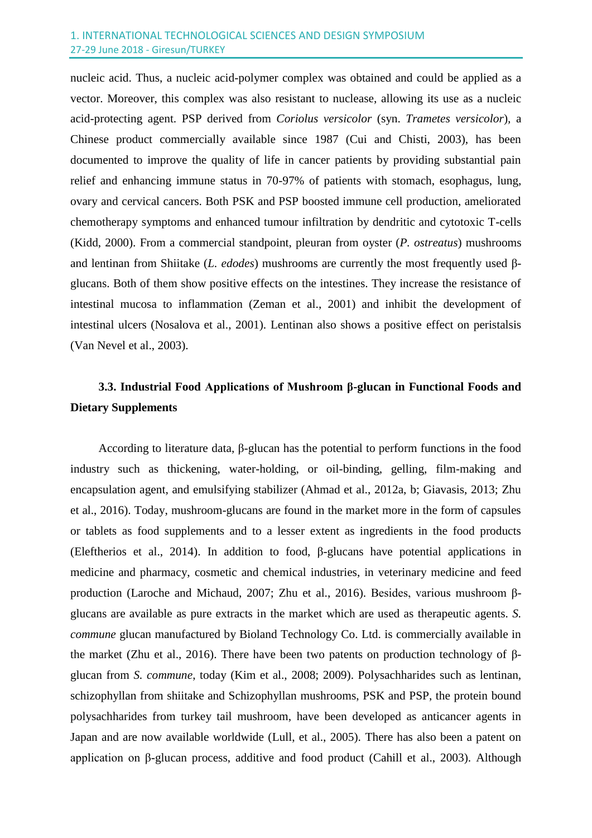nucleic acid. Thus, a nucleic acid-polymer complex was obtained and could be applied as a vector. Moreover, this complex was also resistant to nuclease, allowing its use as a nucleic acid-protecting agent. PSP derived from *Coriolus versicolor* (syn. *Trametes versicolor*)*,* a Chinese product commercially available since 1987 (Cui and Chisti, 2003), has been documented to improve the quality of life in cancer patients by providing substantial pain relief and enhancing immune status in 70-97% of patients with stomach, esophagus, lung, ovary and cervical cancers. Both PSK and PSP boosted immune cell production, ameliorated chemotherapy symptoms and enhanced tumour infiltration by dendritic and cytotoxic T-cells (Kidd, 2000). From a commercial standpoint, pleuran from oyster (*P. ostreatus*) mushrooms and lentinan from Shiitake (*L. edodes*) mushrooms are currently the most frequently used βglucans. Both of them show positive effects on the intestines. They increase the resistance of intestinal mucosa to inflammation (Zeman et al., 2001) and inhibit the development of intestinal ulcers (Nosalova et al., 2001). Lentinan also shows a positive effect on peristalsis (Van Nevel et al., 2003).

## **3.3. Industrial Food Applications of Mushroom β-glucan in Functional Foods and Dietary Supplements**

According to literature data, β-glucan has the potential to perform functions in the food industry such as thickening, water-holding, or oil-binding, gelling, film-making and encapsulation agent, and emulsifying stabilizer (Ahmad et al., 2012a, b; Giavasis, 2013; Zhu et al., 2016). Today, mushroom-glucans are found in the market more in the form of capsules or tablets as food supplements and to a lesser extent as ingredients in the food products (Eleftherios et al., 2014). In addition to food, β-glucans have potential applications in medicine and pharmacy, cosmetic and chemical industries, in veterinary medicine and feed production (Laroche and Michaud, 2007; Zhu et al., 2016). Besides, various mushroom βglucans are available as pure extracts in the market which are used as therapeutic agents. *S. commune* glucan manufactured by Bioland Technology Co. Ltd. is commercially available in the market (Zhu et al., 2016). There have been two patents on production technology of βglucan from *S. commune*, today (Kim et al., 2008; 2009). Polysachharides such as lentinan, schizophyllan from shiitake and Schizophyllan mushrooms, PSK and PSP, the protein bound polysachharides from turkey tail mushroom, have been developed as anticancer agents in Japan and are now available worldwide (Lull, et al., 2005). There has also been a patent on application on β-glucan process, additive and food product (Cahill et al., 2003). Although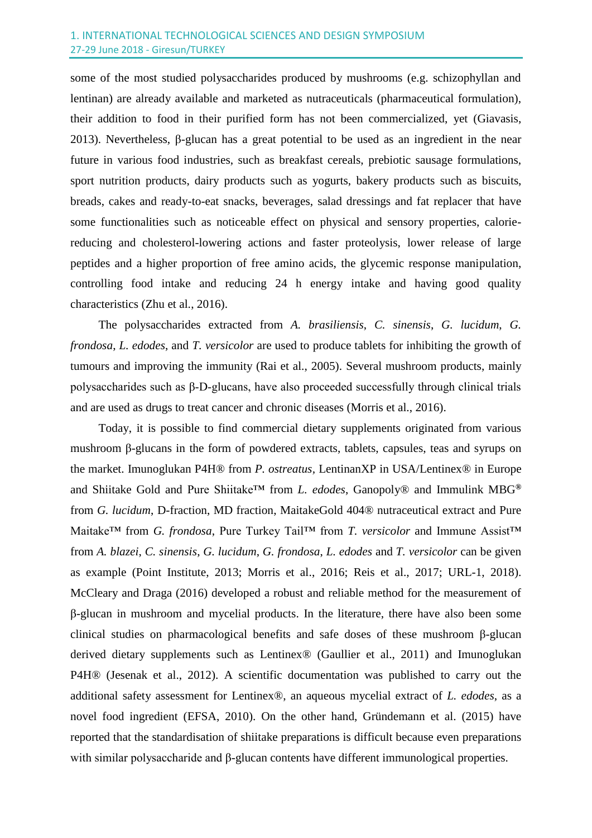#### 1. INTERNATIONAL TECHNOLOGICAL SCIENCES AND DESIGN SYMPOSIUM 27-29 June 2018 - Giresun/TURKEY

some of the most studied polysaccharides produced by mushrooms (e.g. schizophyllan and lentinan) are already available and marketed as nutraceuticals (pharmaceutical formulation), their addition to food in their purified form has not been commercialized, yet (Giavasis, 2013). Nevertheless, β-glucan has a great potential to be used as an ingredient in the near future in various food industries, such as breakfast cereals, prebiotic sausage formulations, sport nutrition products, dairy products such as yogurts, bakery products such as biscuits, breads, cakes and ready-to-eat snacks, beverages, salad dressings and fat replacer that have some functionalities such as noticeable effect on physical and sensory properties, caloriereducing and cholesterol-lowering actions and faster proteolysis, lower release of large peptides and a higher proportion of free amino acids, the glycemic response manipulation, controlling food intake and reducing 24 h energy intake and having good quality characteristics (Zhu et al., 2016).

The polysaccharides extracted from *A. brasiliensis*, *C. sinensis*, *G. lucidum*, *G. frondosa*, *L. edodes*, and *T. versicolor* are used to produce tablets for inhibiting the growth of tumours and improving the immunity (Rai et al., 2005). Several mushroom products, mainly polysaccharides such as β‐D‐glucans, have also proceeded successfully through clinical trials and are used as drugs to treat cancer and chronic diseases (Morris et al., 2016).

Today, it is possible to find commercial dietary supplements originated from various mushroom β-glucans in the form of powdered extracts, tablets, capsules, teas and syrups on the market. Imunoglukan P4H® from *P. ostreatus,* LentinanXP in USA/Lentinex® in Europe and Shiitake Gold and Pure Shiitake™ from *L. edodes*, Ganopoly® and Immulink MBG**®** from *G. lucidum*, D-fraction, MD fraction, MaitakeGold 404® nutraceutical extract and Pure Maitake™ from *G. frondosa*, Pure Turkey Tail™ from *T. versicolor* and Immune Assist™ from *A. blazei*, *C. sinensis*, *G. lucidum*, *G. frondosa*, *L. edodes* and *T. versicolor* can be given as example (Point Institute, 2013; Morris et al., 2016; Reis et al., 2017; URL-1, 2018). McCleary and Draga (2016) developed a robust and reliable method for the measurement of β-glucan in mushroom and mycelial products. In the literature, there have also been some clinical studies on pharmacological benefits and safe doses of these mushroom β-glucan derived dietary supplements such as Lentinex® (Gaullier et al., 2011) and Imunoglukan P4H® (Jesenak et al., 2012). A scientific documentation was published to carry out the additional safety assessment for Lentinex®, an aqueous mycelial extract of *L. edodes*, as a novel food ingredient (EFSA, 2010). On the other hand, Gründemann et al. (2015) have reported that the standardisation of shiitake preparations is difficult because even preparations with similar polysaccharide and β-glucan contents have different immunological properties.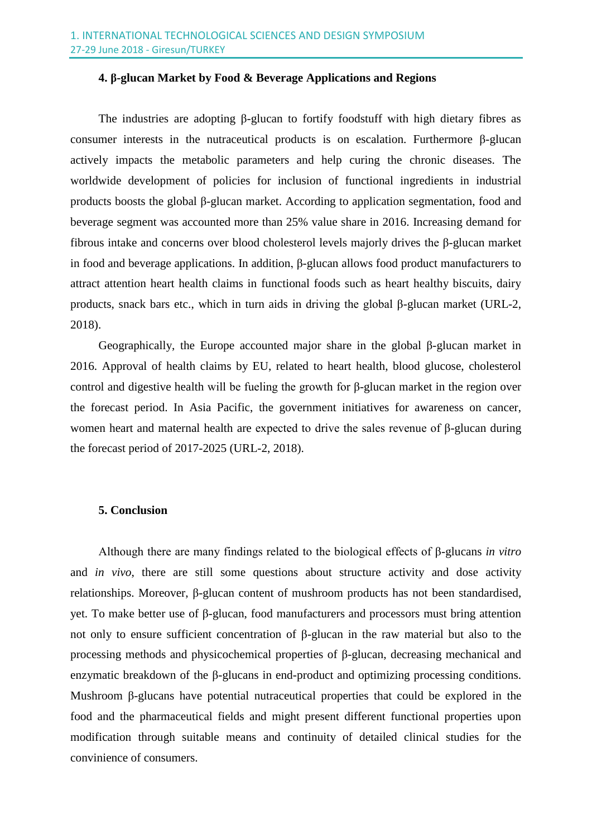#### **4. β-glucan Market by Food & Beverage Applications and Regions**

The industries are adopting β-glucan to fortify foodstuff with high dietary fibres as consumer interests in the nutraceutical products is on escalation. Furthermore β-glucan actively impacts the metabolic parameters and help curing the chronic diseases. The worldwide development of policies for inclusion of functional ingredients in industrial products boosts the global β-glucan market. According to application segmentation, food and beverage segment was accounted more than 25% value share in 2016. Increasing demand for fibrous intake and concerns over blood cholesterol levels majorly drives the β-glucan market in food and beverage applications. In addition, β-glucan allows food product manufacturers to attract attention heart health claims in functional foods such as heart healthy biscuits, dairy products, snack bars etc., which in turn aids in driving the global β-glucan market (URL-2, 2018).

Geographically, the Europe accounted major share in the global β-glucan market in 2016. Approval of health claims by EU, related to heart health, blood glucose, cholesterol control and digestive health will be fueling the growth for β-glucan market in the region over the forecast period. In Asia Pacific, the government initiatives for awareness on cancer, women heart and maternal health are expected to drive the sales revenue of β-glucan during the forecast period of 2017-2025 (URL-2, 2018).

#### **5. Conclusion**

Although there are many findings related to the biological effects of β-glucans *in vitro* and *in vivo*, there are still some questions about structure activity and dose activity relationships. Moreover, β-glucan content of mushroom products has not been standardised, yet. To make better use of β-glucan, food manufacturers and processors must bring attention not only to ensure sufficient concentration of β-glucan in the raw material but also to the processing methods and physicochemical properties of β-glucan, decreasing mechanical and enzymatic breakdown of the β-glucans in end-product and optimizing processing conditions. Mushroom β-glucans have potential nutraceutical properties that could be explored in the food and the pharmaceutical fields and might present different functional properties upon modification through suitable means and continuity of detailed clinical studies for the convinience of consumers.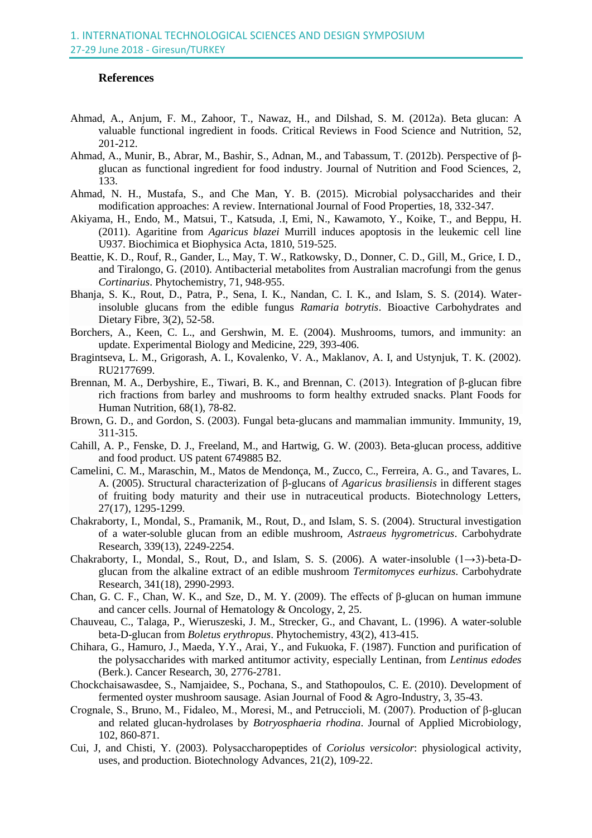#### **References**

- Ahmad, A., Anjum, F. M., Zahoor, T., Nawaz, H., and Dilshad, S. M. (2012a). Beta glucan: A valuable functional ingredient in foods. Critical Reviews in Food Science and Nutrition, 52, 201-212.
- Ahmad, A., Munir, B., Abrar, M., Bashir, S., Adnan, M., and Tabassum, T. (2012b). Perspective of βglucan as functional ingredient for food industry. Journal of Nutrition and Food Sciences, 2, 133.
- Ahmad, N. H., Mustafa, S., and Che Man, Y. B. (2015). Microbial polysaccharides and their modification approaches: A review. International Journal of Food Properties, 18, 332-347.
- Akiyama, H., Endo, M., Matsui, T., Katsuda, .I, Emi, N., Kawamoto, Y., Koike, T., and Beppu, H. (2011). Agaritine from *Agaricus blazei* Murrill induces apoptosis in the leukemic cell line U937. Biochimica et Biophysica Acta, 1810, 519-525.
- Beattie, K. D., Rouf, R., Gander, L., May, T. W., Ratkowsky, D., Donner, C. D., Gill, M., Grice, I. D., and Tiralongo, G. (2010). Antibacterial metabolites from Australian macrofungi from the genus *Cortinarius*. Phytochemistry, 71, 948-955.
- Bhanja, S. K., Rout, D., Patra, P., Sena, I. K., Nandan, C. I. K., and Islam, S. S. (2014). Waterinsoluble glucans from the edible fungus *Ramaria botrytis*. Bioactive Carbohydrates and Dietary Fibre, 3(2), 52-58.
- Borchers, A., Keen, C. L., and Gershwin, M. E. (2004). Mushrooms, tumors, and immunity: an update. Experimental Biology and Medicine, 229, 393-406.
- Bragintseva, L. M., Grigorash, A. I., Kovalenko, V. A., Maklanov, A. I, and Ustynjuk, T. K. (2002). RU2177699.
- Brennan, M. A., Derbyshire, E., Tiwari, B. K., and Brennan, C. (2013). Integration of β-glucan fibre rich fractions from barley and mushrooms to form healthy extruded snacks. Plant Foods for Human Nutrition, 68(1), 78-82.
- Brown, G. D., and Gordon, S. (2003). Fungal beta-glucans and mammalian immunity. Immunity, 19, 311-315.
- Cahill, A. P., Fenske, D. J., Freeland, M., and Hartwig, G. W. (2003). Beta-glucan process, additive and food product. US patent 6749885 B2.
- Camelini, C. M., Maraschin, M., Matos de Mendonça, M., Zucco, C., Ferreira, A. G., and Tavares, L. A. (2005). Structural characterization of β-glucans of *Agaricus brasiliensis* in different stages of fruiting body maturity and their use in nutraceutical products. Biotechnology Letters, 27(17), 1295-1299.
- Chakraborty, I., Mondal, S., Pramanik, M., Rout, D., and Islam, S. S. (2004). Structural investigation of a water-soluble glucan from an edible mushroom, *Astraeus hygrometricus*. Carbohydrate Research, 339(13), 2249-2254.
- Chakraborty, I., Mondal, S., Rout, D., and Islam, S. S. (2006). A water-insoluble  $(1\rightarrow3)$ -beta-Dglucan from the alkaline extract of an edible mushroom *Termitomyces eurhizus*. Carbohydrate Research, 341(18), 2990-2993.
- Chan, G. C. F., Chan, W. K., and Sze, D., M. Y. (2009). The effects of β-glucan on human immune and cancer cells. Journal of Hematology & Oncology, 2, 25.
- Chauveau, C., Talaga, P., Wieruszeski, J. M., Strecker, G., and Chavant, L. (1996). A water-soluble beta-D-glucan from *Boletus erythropus*. Phytochemistry, 43(2), 413-415.
- Chihara, G., Hamuro, J., Maeda, Y.Y., Arai, Y., and Fukuoka, F. (1987). Function and purification of the polysaccharides with marked antitumor activity, especially Lentinan, from *Lentinus edodes*  (Berk.). Cancer Research, 30, 2776-2781.
- Chockchaisawasdee, S., Namjaidee, S., Pochana, S., and Stathopoulos, C. E. (2010). Development of fermented oyster mushroom sausage. Asian Journal of Food & Agro-Industry, 3, 35-43.
- Crognale, S., Bruno, M., Fidaleo, M., Moresi, M., and Petruccioli, M. (2007). Production of β-glucan and related glucan-hydrolases by *Botryosphaeria rhodina*. Journal of Applied Microbiology, 102, 860-871.
- Cui, J, and Chisti, Y. (2003). Polysaccharopeptides of *Coriolus versicolor*: physiological activity, uses, and production. Biotechnology Advances, 21(2), 109-22.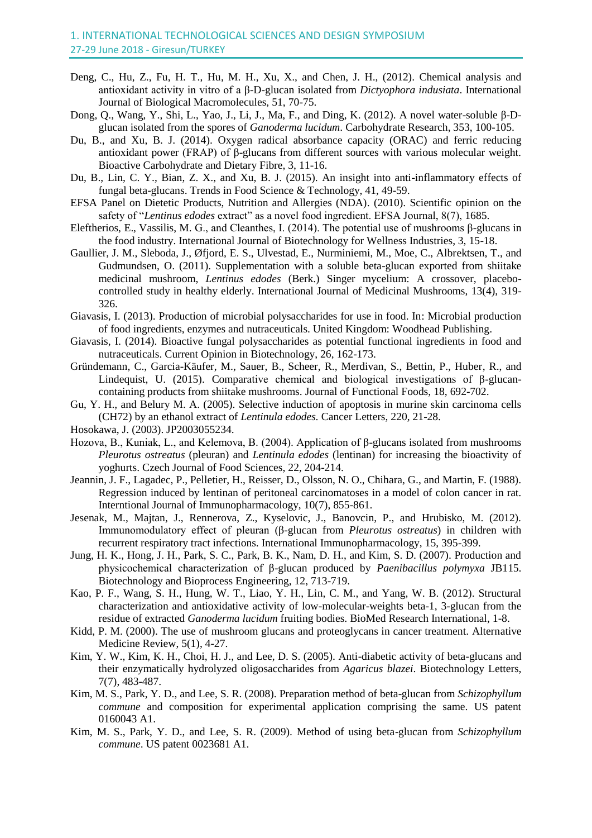- Deng, C., Hu, Z., Fu, H. T., Hu, M. H., Xu, X., and Chen, J. H., (2012). Chemical analysis and antioxidant activity in vitro of a β-D-glucan isolated from *Dictyophora indusiata*. International Journal of Biological Macromolecules, 51, 70-75.
- Dong, Q., Wang, Y., Shi, L., Yao, J., Li, J., Ma, F., and Ding, K. (2012). A novel water-soluble β-Dglucan isolated from the spores of *Ganoderma lucidum*. Carbohydrate Research, 353, 100-105.
- Du, B., and Xu, B. J. (2014). Oxygen radical absorbance capacity (ORAC) and ferric reducing antioxidant power (FRAP) of β-glucans from different sources with various molecular weight. Bioactive Carbohydrate and Dietary Fibre, 3, 11-16.
- Du, B., Lin, C. Y., Bian, Z. X., and Xu, B. J. (2015). An insight into anti-inflammatory effects of fungal beta-glucans. Trends in Food Science & Technology, 41, 49-59.
- EFSA Panel on Dietetic Products, Nutrition and Allergies (NDA). (2010). Scientific opinion on the safety of "*Lentinus edodes* extract" as a novel food ingredient. EFSA Journal, 8(7), 1685.
- Eleftherios, E., Vassilis, M. G., and Cleanthes, I. (2014). The potential use of mushrooms β-glucans in the food industry. International Journal of Biotechnology for Wellness Industries, 3, 15-18.
- Gaullier, J. M., Sleboda, J., Øfjord, E. S., Ulvestad, E., Nurminiemi, M., Moe, C., Albrektsen, T., and Gudmundsen, O. (2011). Supplementation with a soluble beta-glucan exported from shiitake medicinal mushroom, *Lentinus edodes* (Berk.) Singer mycelium: A crossover, placebocontrolled study in healthy elderly. International Journal of Medicinal Mushrooms, 13(4), 319- 326.
- Giavasis, I. (2013). Production of microbial polysaccharides for use in food. In: Microbial production of food ingredients, enzymes and nutraceuticals. United Kingdom: Woodhead Publishing.
- Giavasis, I. (2014). Bioactive fungal polysaccharides as potential functional ingredients in food and nutraceuticals. Current Opinion in Biotechnology, 26, 162-173.
- Gründemann, C., Garcia-Käufer, M., Sauer, B., Scheer, R., Merdivan, S., Bettin, P., Huber, R., and Lindequist, U. (2015). Comparative chemical and biological investigations of β-glucancontaining products from shiitake mushrooms. Journal of Functional Foods, 18, 692-702.
- Gu, Y. H., and Belury M. A. (2005). Selective induction of apoptosis in murine skin carcinoma cells (CH72) by an ethanol extract of *Lentinula edodes.* Cancer Letters, 220, 21-28.
- Hosokawa, J. (2003). JP2003055234.
- Hozova, B., Kuniak, L., and Kelemova, B. (2004). Application of β-glucans isolated from mushrooms *Pleurotus ostreatus* (pleuran) and *Lentinula edodes* (lentinan) for increasing the bioactivity of yoghurts. Czech Journal of Food Sciences, 22, 204-214.
- Jeannin, J. F., Lagadec, P., Pelletier, H., Reisser, D., Olsson, N. O., Chihara, G., and Martin, F. (1988). Regression induced by lentinan of peritoneal carcinomatoses in a model of colon cancer in rat. Interntional Journal of Immunopharmacology, 10(7), 855-861.
- Jesenak, M., Majtan, J., Rennerova, Z., Kyselovic, J., Banovcin, P., and Hrubisko, M. (2012). Immunomodulatory effect of pleuran (β-glucan from *Pleurotus ostreatus*) in children with recurrent respiratory tract infections. International Immunopharmacology, 15, 395-399.
- Jung, H. K., Hong, J. H., Park, S. C., Park, B. K., Nam, D. H., and Kim, S. D. (2007). Production and physicochemical characterization of β-glucan produced by *Paenibacillus polymyxa* JB115. Biotechnology and Bioprocess Engineering, 12, 713-719.
- Kao, P. F., Wang, S. H., Hung, W. T., Liao, Y. H., Lin, C. M., and Yang, W. B. (2012). Structural characterization and antioxidative activity of low-molecular-weights beta-1, 3-glucan from the residue of extracted *Ganoderma lucidum* fruiting bodies. BioMed Research International, 1-8.
- Kidd, P. M. (2000). The use of mushroom glucans and proteoglycans in cancer treatment. Alternative Medicine Review, 5(1), 4-27.
- Kim, Y. W., Kim, K. H., Choi, H. J., and Lee, D. S. (2005). Anti-diabetic activity of beta-glucans and their enzymatically hydrolyzed oligosaccharides from *Agaricus blazei*. Biotechnology Letters, 7(7), 483-487.
- Kim, M. S., Park, Y. D., and Lee, S. R. (2008). Preparation method of beta-glucan from *Schizophyllum commune* and composition for experimental application comprising the same. US patent 0160043 A1.
- Kim, M. S., Park, Y. D., and Lee, S. R. (2009). Method of using beta-glucan from *Schizophyllum commune*. US patent 0023681 A1.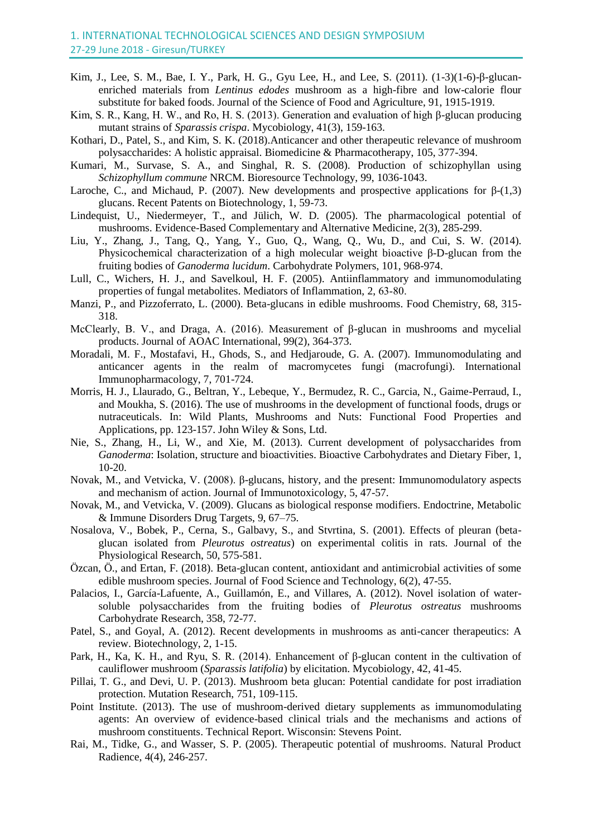- Kim, J., Lee, S. M., Bae, I. Y., Park, H. G., Gyu Lee, H., and Lee, S. (2011). (1-3)(1-6)-β-glucanenriched materials from *Lentinus edodes* mushroom as a high-fibre and low-calorie flour substitute for baked foods. Journal of the Science of Food and Agriculture, 91, 1915-1919.
- Kim, S. R., Kang, H. W., and Ro, H. S. (2013). Generation and evaluation of high β-glucan producing mutant strains of *Sparassis crispa*. Mycobiology, 41(3), 159-163.
- Kothari, D., Patel, S., and Kim, S. K. (2018).Anticancer and other therapeutic relevance of mushroom polysaccharides: A holistic appraisal. Biomedicine & Pharmacotherapy, 105, 377-394.
- Kumari, M., Survase, S. A., and Singhal, R. S. (2008). Production of schizophyllan using *Schizophyllum commune* NRCM. Bioresource Technology, 99, 1036-1043.
- Laroche, C., and Michaud, P. (2007). New developments and prospective applications for  $\beta$ -(1,3) glucans. Recent Patents on Biotechnology, 1, 59-73.
- Lindequist, U., Niedermeyer, T., and Jülich, W. D. (2005). The pharmacological potential of mushrooms. Evidence-Based Complementary and Alternative Medicine, 2(3), 285-299.
- Liu, Y., Zhang, J., Tang, Q., Yang, Y., Guo, Q., Wang, Q., Wu, D., and Cui, S. W. (2014). Physicochemical characterization of a high molecular weight bioactive β-D-glucan from the fruiting bodies of *Ganoderma lucidum*. Carbohydrate Polymers, 101, 968-974.
- Lull, C., Wichers, H. J., and Savelkoul, H. F. (2005). Antiinflammatory and immunomodulating properties of fungal metabolites. Mediators of Inflammation, 2, 63‐80.
- Manzi, P., and Pizzoferrato, L. (2000). Beta-glucans in edible mushrooms. Food Chemistry, 68, 315- 318.
- McClearly, B. V., and Draga, A. (2016). Measurement of β-glucan in mushrooms and mycelial products. Journal of AOAC International, 99(2), 364-373.
- Moradali, M. F., Mostafavi, H., Ghods, S., and Hedjaroude, G. A. (2007). Immunomodulating and anticancer agents in the realm of macromycetes fungi (macrofungi). International Immunopharmacology, 7, 701-724.
- Morris, H. J., Llaurado, G., Beltran, Y., Lebeque, Y., Bermudez, R. C., Garcia, N., Gaime-Perraud, I., and Moukha, S. (2016). The use of mushrooms in the development of functional foods, drugs or nutraceuticals. In: Wild Plants, Mushrooms and Nuts: Functional Food Properties and Applications, pp. 123-157. John Wiley & Sons, Ltd.
- Nie, S., Zhang, H., Li, W., and Xie, M. (2013). Current development of polysaccharides from *Ganoderma*: Isolation, structure and bioactivities. Bioactive Carbohydrates and Dietary Fiber, 1, 10-20.
- Novak, M., and Vetvicka, V. (2008). β-glucans, history, and the present: Immunomodulatory aspects and mechanism of action. Journal of Immunotoxicology, 5, 47-57.
- Novak, M., and Vetvicka, V. (2009). Glucans as biological response modifiers. Endoctrine, Metabolic & Immune Disorders Drug Targets, 9, 67–75.
- Nosalova, V., Bobek, P., Cerna, S., Galbavy, S., and Stvrtina, S. (2001). Effects of pleuran (betaglucan isolated from *Pleurotus ostreatus*) on experimental colitis in rats. Journal of the Physiological Research, 50, 575-581.
- Özcan, Ö., and Ertan, F. (2018). Beta-glucan content, antioxidant and antimicrobial activities of some edible mushroom species. Journal of Food Science and Technology, 6(2), 47-55.
- Palacios, I., García-Lafuente, A., Guillamón, E., and Villares, A. (2012). Novel isolation of watersoluble polysaccharides from the fruiting bodies of *Pleurotus ostreatus* mushrooms Carbohydrate Research, 358, 72-77.
- Patel, S., and Goyal, A. (2012). Recent developments in mushrooms as anti-cancer therapeutics: A review. Biotechnology, 2, 1-15.
- Park, H., Ka, K. H., and Ryu, S. R. (2014). Enhancement of β-glucan content in the cultivation of cauliflower mushroom (*Sparassis latifolia*) by elicitation. Mycobiology, 42, 41-45.
- Pillai, T. G., and Devi, U. P. (2013). Mushroom beta glucan: Potential candidate for post irradiation protection. Mutation Research, 751, 109-115.
- Point Institute. (2013). The use of mushroom-derived dietary supplements as immunomodulating agents: An overview of evidence-based clinical trials and the mechanisms and actions of mushroom constituents. Technical Report. Wisconsin: Stevens Point.
- Rai, M., Tidke, G., and Wasser, S. P. (2005). Therapeutic potential of mushrooms. Natural Product Radience, 4(4), 246-257.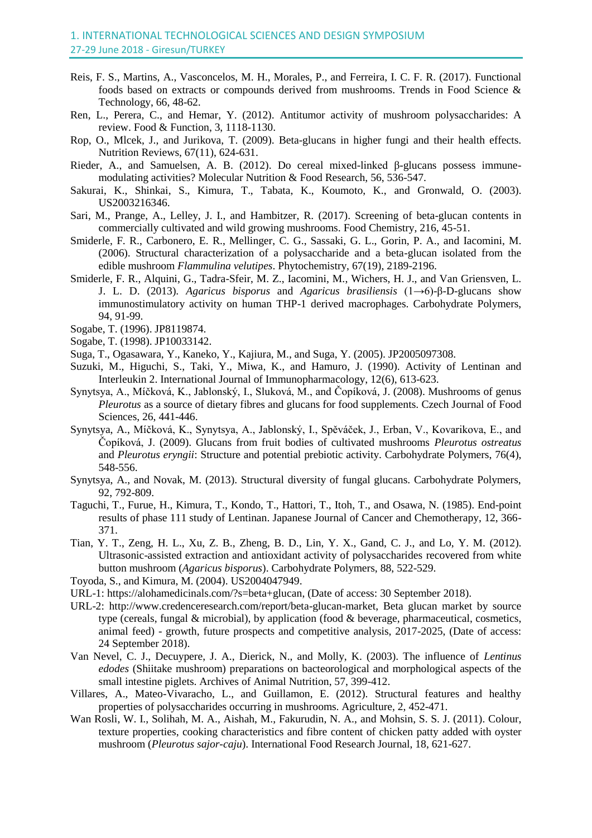- Reis, F. S., Martins, A., Vasconcelos, M. H., Morales, P., and Ferreira, I. C. F. R. (2017). Functional foods based on extracts or compounds derived from mushrooms. Trends in Food Science & Technology, 66, 48-62.
- Ren, L., Perera, C., and Hemar, Y. (2012). Antitumor activity of mushroom polysaccharides: A review. Food & Function, 3, 1118-1130.
- [Rop,](javascript:;) O., [Mlcek,](javascript:;) J., and [Jurikova,](javascript:;) T. (2009). Beta-glucans in higher fungi and their health effects. Nutrition Reviews*,* 67(11), 624-631.
- Rieder, A., and Samuelsen, A. B. (2012). Do cereal mixed-linked β-glucans possess immunemodulating activities? Molecular Nutrition & Food Research, 56, 536-547.
- Sakurai, K., Shinkai, S., Kimura, T., Tabata, K., Koumoto, K., and Gronwald, O. (2003). US2003216346.
- Sari, M., Prange, A., Lelley, J. I., and Hambitzer, R. (2017). Screening of beta-glucan contents in commercially cultivated and wild growing mushrooms. Food Chemistry, 216, 45-51.
- Smiderle, F. R., Carbonero, E. R., Mellinger, C. G., Sassaki, G. L., Gorin, P. A., and Iacomini, M. (2006). Structural characterization of a polysaccharide and a beta-glucan isolated from the edible mushroom *Flammulina velutipes*. Phytochemistry, 67(19), 2189-2196.
- Smiderle, F. R., Alquini, G., Tadra-Sfeir, M. Z., Iacomini, M., Wichers, H. J., and Van Griensven, L. J. L. D. (2013). *Agaricus bisporus* and *Agaricus brasiliensis* (1→6)-β-D-glucans show immunostimulatory activity on human THP-1 derived macrophages. Carbohydrate Polymers, 94, 91-99.
- Sogabe, T. (1996). JP8119874.
- Sogabe, T. (1998). JP10033142.
- Suga, T., Ogasawara, Y., Kaneko, Y., Kajiura, M., and Suga, Y. (2005). JP2005097308.
- Suzuki, M., Higuchi, S., Taki, Y., Miwa, K., and Hamuro, J. (1990). Activity of Lentinan and Interleukin 2. International Journal of Immunopharmacology, 12(6), 613-623.
- Synytsya, A., Míčková, K., Jablonský, I., Sluková, M., and Čopíková, J. (2008). Mushrooms of genus *Pleurotus* as a source of dietary fibres and glucans for food supplements. Czech Journal of Food Sciences, 26, 441-446.
- Synytsya, A., Míčková, K., Synytsya, A., Jablonský, I., Spěváček, J., Erban, V., Kovarikova, E., and Čopíková, J. (2009). Glucans from fruit bodies of cultivated mushrooms *Pleurotus ostreatus* and *Pleurotus eryngii*: Structure and potential prebiotic activity. Carbohydrate Polymers, 76(4), 548-556.
- Synytsya, A., and Novak, M. (2013). Structural diversity of fungal glucans. Carbohydrate Polymers, 92, 792-809.
- Taguchi, T., Furue, H., Kimura, T., Kondo, T., Hattori, T., Itoh, T., and Osawa, N. (1985). End-point results of phase 111 study of Lentinan. Japanese Journal of Cancer and Chemotherapy, 12, 366- 371.
- Tian, Y. T., Zeng, H. L., Xu, Z. B., Zheng, B. D., Lin, Y. X., Gand, C. J., and Lo, Y. M. (2012). Ultrasonic-assisted extraction and antioxidant activity of polysaccharides recovered from white button mushroom (*Agaricus bisporus*). Carbohydrate Polymers, 88, 522-529.
- Toyoda, S., and Kimura, M. (2004). US2004047949.
- URL-1: [https://alohamedicinals.com/?s=beta+glucan,](https://alohamedicinals.com/?s=beta+glucan) (Date of access: 30 September 2018).
- URL-2: [http://www.credenceresearch.com/report/beta-glucan-market,](http://www.credenceresearch.com/report/beta-glucan-market) Beta glucan market by source type (cereals, fungal & microbial), by application (food & beverage, pharmaceutical, cosmetics, animal feed) - growth, future prospects and competitive analysis, 2017-2025, (Date of access: 24 September 2018).
- Van Nevel, C. J., Decuypere, J. A., Dierick, N., and Molly, K. (2003). The influence of *Lentinus edodes* (Shiitake mushroom) preparations on bacteorological and morphological aspects of the small intestine piglets. Archives of Animal Nutrition, 57, 399-412.
- Villares, A., Mateo-Vivaracho, L., and Guillamon, E. (2012). Structural features and healthy properties of polysaccharides occurring in mushrooms. Agriculture, 2, 452-471.
- Wan Rosli, W. I., Solihah, M. A., Aishah, M., Fakurudin, N. A., and Mohsin, S. S. J. (2011). Colour, texture properties, cooking characteristics and fibre content of chicken patty added with oyster mushroom (*Pleurotus sajor-caju*). International Food Research Journal, 18, 621-627.